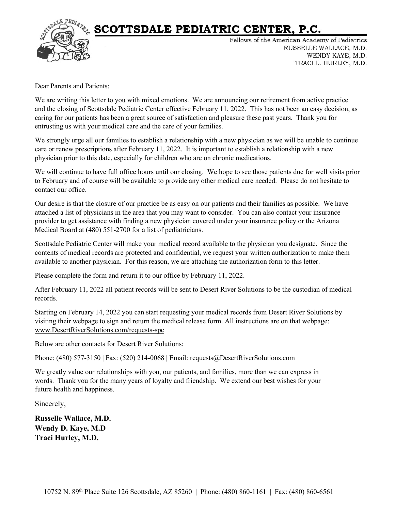

# SCOTTSDALE PEDIATRIC CENTER, P.C.

Fellows of the American Academy of Pediatrics RUSSELLE WALLACE, M.D. WENDY KAYE, M.D. TRACI L. HURLEY, M.D.

Dear Parents and Patients:

We are writing this letter to you with mixed emotions. We are announcing our retirement from active practice and the closing of Scottsdale Pediatric Center effective February 11, 2022. This has not been an easy decision, as caring for our patients has been a great source of satisfaction and pleasure these past years. Thank you for entrusting us with your medical care and the care of your families.

We strongly urge all our families to establish a relationship with a new physician as we will be unable to continue care or renew prescriptions after February 11, 2022. It is important to establish a relationship with a new physician prior to this date, especially for children who are on chronic medications.

We will continue to have full office hours until our closing. We hope to see those patients due for well visits prior to February and of course will be available to provide any other medical care needed. Please do not hesitate to contact our office.

Our desire is that the closure of our practice be as easy on our patients and their families as possible. We have attached a list of physicians in the area that you may want to consider. You can also contact your insurance provider to get assistance with finding a new physician covered under your insurance policy or the Arizona Medical Board at (480) 551-2700 for a list of pediatricians.

Scottsdale Pediatric Center will make your medical record available to the physician you designate. Since the contents of medical records are protected and confidential, we request your written authorization to make them available to another physician. For this reason, we are attaching the authorization form to this letter.

Please complete the form and return it to our office by February 11, 2022.

After February 11, 2022 all patient records will be sent to Desert River Solutions to be the custodian of medical records.

Starting on February 14, 2022 you can start requesting your medical records from Desert River Solutions by visiting their webpage to sign and return the medical release form. All instructions are on that webpage: [www.DesertRiverSolutions.com/requests-spc](http://www.desertriversolutions.com/requests-spc)

Below are other contacts for Desert River Solutions:

Phone: (480) 577-3150 | Fax: (520) 214-0068 | Email: [requests@DesertRiverSolutions.com](mailto:requests@DesertRiverSolutions.com)

We greatly value our relationships with you, our patients, and families, more than we can express in words. Thank you for the many years of loyalty and friendship. We extend our best wishes for your future health and happiness.

Sincerely,

**Russelle Wallace, M.D. Wendy D. Kaye, M.D Traci Hurley, M.D.**